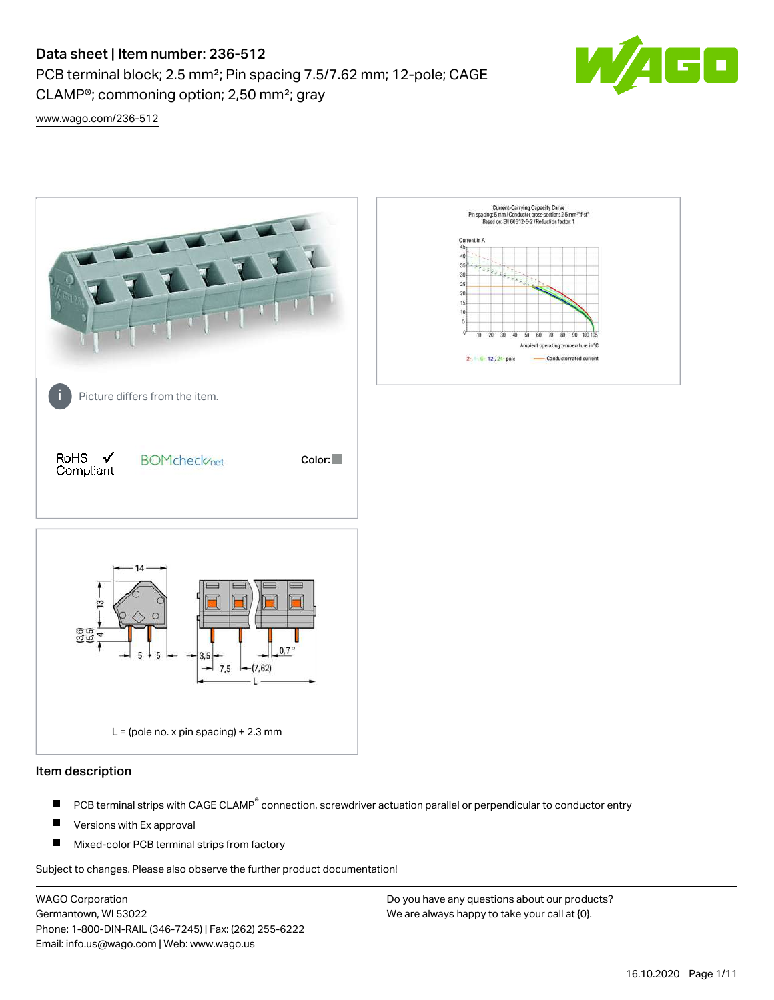# Data sheet | Item number: 236-512

PCB terminal block; 2.5 mm²; Pin spacing 7.5/7.62 mm; 12-pole; CAGE CLAMP®; commoning option; 2,50 mm²; gray



[www.wago.com/236-512](http://www.wago.com/236-512)



### Item description

- PCB terminal strips with CAGE CLAMP<sup>®</sup> connection, screwdriver actuation parallel or perpendicular to conductor entry П
- П Versions with Ex approval
- П Mixed-color PCB terminal strips from factory

Subject to changes. Please also observe the further product documentation!

WAGO Corporation Germantown, WI 53022 Phone: 1-800-DIN-RAIL (346-7245) | Fax: (262) 255-6222 Email: info.us@wago.com | Web: www.wago.us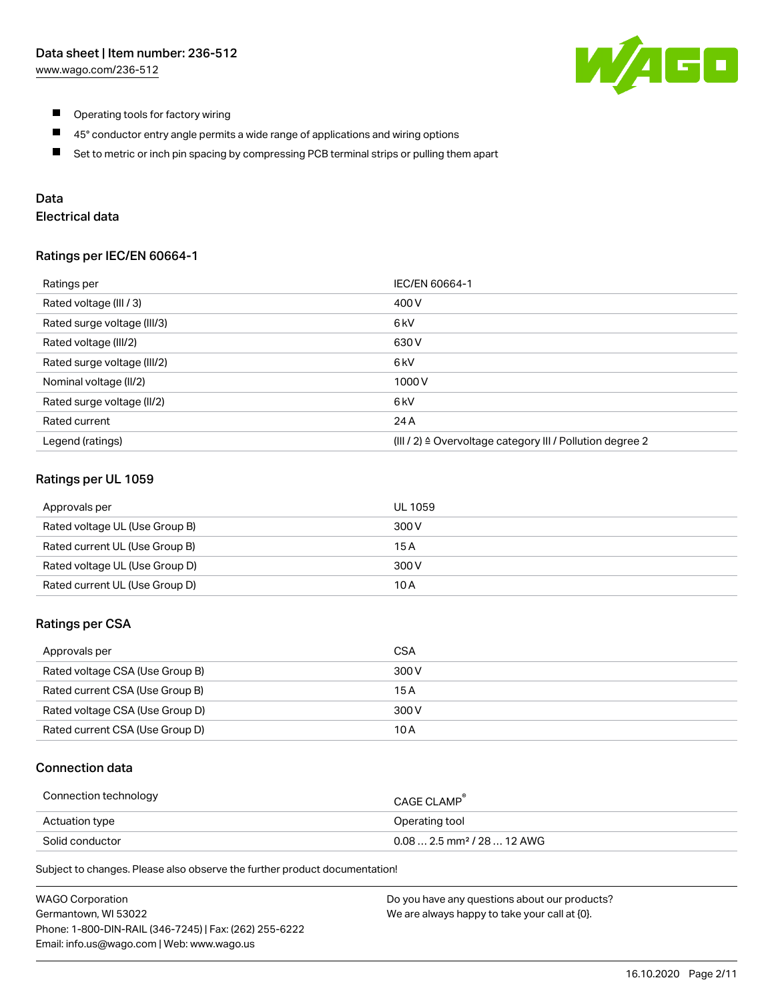

- $\blacksquare$ Operating tools for factory wiring
- $\blacksquare$ 45° conductor entry angle permits a wide range of applications and wiring options
- $\blacksquare$ Set to metric or inch pin spacing by compressing PCB terminal strips or pulling them apart

### Data

## Electrical data

#### Ratings per IEC/EN 60664-1

| Ratings per                 | IEC/EN 60664-1                                            |
|-----------------------------|-----------------------------------------------------------|
| Rated voltage (III / 3)     | 400 V                                                     |
| Rated surge voltage (III/3) | 6 <sub>k</sub> V                                          |
| Rated voltage (III/2)       | 630 V                                                     |
| Rated surge voltage (III/2) | 6 <sub>kV</sub>                                           |
| Nominal voltage (II/2)      | 1000V                                                     |
| Rated surge voltage (II/2)  | 6 kV                                                      |
| Rated current               | 24 A                                                      |
| Legend (ratings)            | (III / 2) ≙ Overvoltage category III / Pollution degree 2 |

### Ratings per UL 1059

| Approvals per                  | UL 1059 |
|--------------------------------|---------|
| Rated voltage UL (Use Group B) | 300 V   |
| Rated current UL (Use Group B) | 15 A    |
| Rated voltage UL (Use Group D) | 300 V   |
| Rated current UL (Use Group D) | 10 A    |

#### Ratings per CSA

| Approvals per                   | CSA   |
|---------------------------------|-------|
| Rated voltage CSA (Use Group B) | 300 V |
| Rated current CSA (Use Group B) | 15 A  |
| Rated voltage CSA (Use Group D) | 300 V |
| Rated current CSA (Use Group D) | 10 A  |

### Connection data

| Connection technology | CAGE CLAMP                              |
|-----------------------|-----------------------------------------|
| Actuation type        | Operating tool                          |
| Solid conductor       | $0.08$ 2.5 mm <sup>2</sup> / 28  12 AWG |

Subject to changes. Please also observe the further product documentation!

| <b>WAGO Corporation</b>                                | Do you have any questions about our products? |
|--------------------------------------------------------|-----------------------------------------------|
| Germantown, WI 53022                                   | We are always happy to take your call at {0}. |
| Phone: 1-800-DIN-RAIL (346-7245)   Fax: (262) 255-6222 |                                               |
| Email: info.us@wago.com   Web: www.wago.us             |                                               |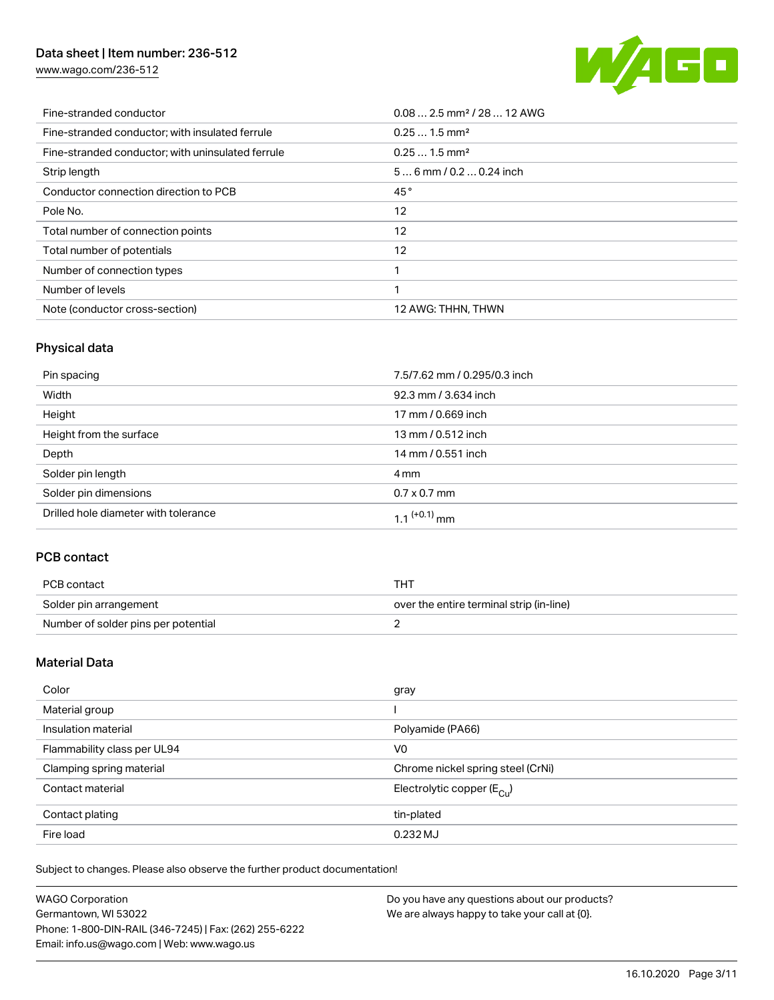## Data sheet | Item number: 236-512

[www.wago.com/236-512](http://www.wago.com/236-512)



| Fine-stranded conductor                           | $0.08$ 2.5 mm <sup>2</sup> / 28  12 AWG |
|---------------------------------------------------|-----------------------------------------|
| Fine-stranded conductor; with insulated ferrule   | $0.251.5$ mm <sup>2</sup>               |
| Fine-stranded conductor; with uninsulated ferrule | $0.251.5$ mm <sup>2</sup>               |
| Strip length                                      | $56$ mm / 0.2  0.24 inch                |
| Conductor connection direction to PCB             | 45°                                     |
| Pole No.                                          | 12                                      |
| Total number of connection points                 | 12                                      |
| Total number of potentials                        | 12                                      |
| Number of connection types                        |                                         |
| Number of levels                                  |                                         |
| Note (conductor cross-section)                    | 12 AWG: THHN, THWN                      |

## Physical data

| Pin spacing                          | 7.5/7.62 mm / 0.295/0.3 inch |
|--------------------------------------|------------------------------|
| Width                                | 92.3 mm / 3.634 inch         |
| Height                               | 17 mm / 0.669 inch           |
| Height from the surface              | 13 mm / 0.512 inch           |
| Depth                                | 14 mm / 0.551 inch           |
| Solder pin length                    | 4 mm                         |
| Solder pin dimensions                | $0.7 \times 0.7$ mm          |
| Drilled hole diameter with tolerance | $1.1$ <sup>(+0.1)</sup> mm   |

## PCB contact

| PCB contact                         | THT                                      |
|-------------------------------------|------------------------------------------|
| Solder pin arrangement              | over the entire terminal strip (in-line) |
| Number of solder pins per potential |                                          |

### Material Data

| Color                       | gray                                  |
|-----------------------------|---------------------------------------|
| Material group              |                                       |
| Insulation material         | Polyamide (PA66)                      |
| Flammability class per UL94 | V <sub>0</sub>                        |
| Clamping spring material    | Chrome nickel spring steel (CrNi)     |
| Contact material            | Electrolytic copper $(E_{\text{CL}})$ |
| Contact plating             | tin-plated                            |
| Fire load                   | $0.232$ MJ                            |

Subject to changes. Please also observe the further product documentation!

| <b>WAGO Corporation</b>                                | Do you have any questions about our products? |
|--------------------------------------------------------|-----------------------------------------------|
| Germantown, WI 53022                                   | We are always happy to take your call at {0}. |
| Phone: 1-800-DIN-RAIL (346-7245)   Fax: (262) 255-6222 |                                               |
| Email: info.us@wago.com   Web: www.wago.us             |                                               |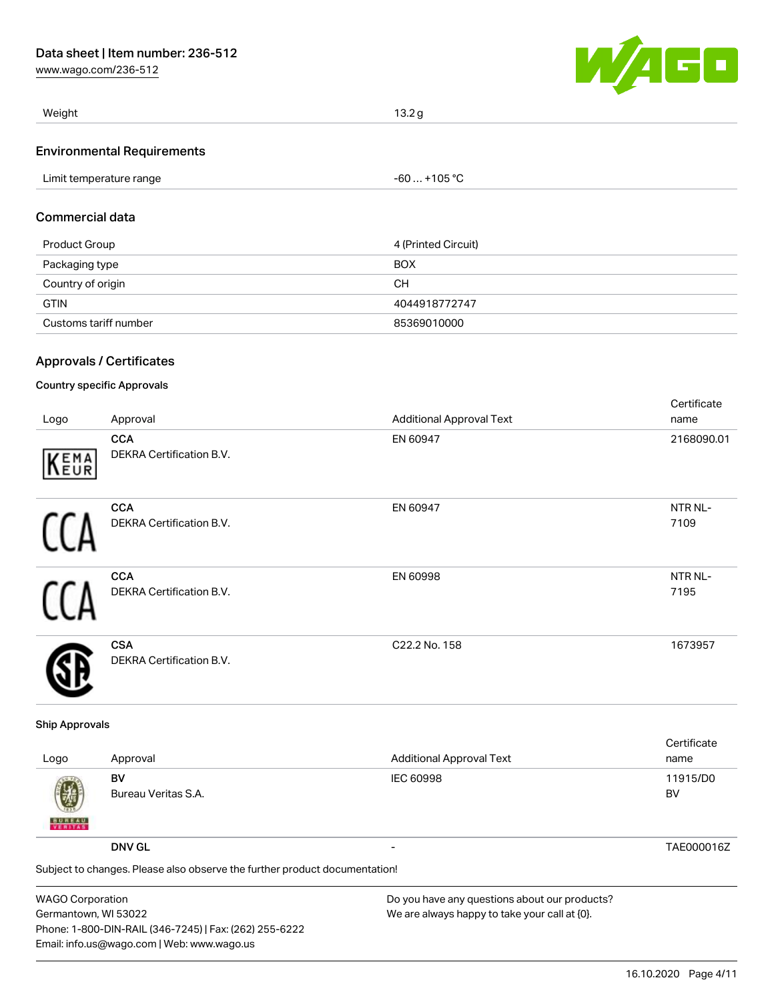[www.wago.com/236-512](http://www.wago.com/236-512)



| Weight                            | 13.2 <sub>g</sub>   |  |
|-----------------------------------|---------------------|--|
| <b>Environmental Requirements</b> |                     |  |
| Limit temperature range           | $-60+105 °C$        |  |
| <b>Commercial data</b>            |                     |  |
| Product Group                     | 4 (Printed Circuit) |  |

| <b>Product Group</b>  | 4 PHILED UILCUIT |
|-----------------------|------------------|
| Packaging type        | <b>BOX</b>       |
| Country of origin     | CН               |
| <b>GTIN</b>           | 4044918772747    |
| Customs tariff number | 85369010000      |

## Approvals / Certificates

### Country specific Approvals

| Logo | Approval                                      | <b>Additional Approval Text</b> | Certificate<br>name |
|------|-----------------------------------------------|---------------------------------|---------------------|
| KEMA | <b>CCA</b><br>DEKRA Certification B.V.        | EN 60947                        | 2168090.01          |
|      | <b>CCA</b><br>DEKRA Certification B.V.        | EN 60947                        | NTR NL-<br>7109     |
|      | <b>CCA</b><br><b>DEKRA Certification B.V.</b> | EN 60998                        | NTR NL-<br>7195     |
|      | <b>CSA</b><br><b>DEKRA Certification B.V.</b> | C22.2 No. 158                   | 1673957             |

#### Ship Approvals

| Logo               | Approval                                                                                    | <b>Additional Approval Text</b> | Certificate<br>name |
|--------------------|---------------------------------------------------------------------------------------------|---------------------------------|---------------------|
| 函<br><b>BUREAU</b> | BV<br>Bureau Veritas S.A.                                                                   | <b>IEC 60998</b>                | 11915/D0<br>BV      |
|                    | <b>DNV GL</b><br>Subject to changes. Please also observe the further product documentation! | $\overline{\phantom{a}}$        | TAE000016Z          |

| <b>WAGO Corporation</b>                                | Do you have any questions about our products? |
|--------------------------------------------------------|-----------------------------------------------|
| Germantown, WI 53022                                   | We are always happy to take your call at {0}. |
| Phone: 1-800-DIN-RAIL (346-7245)   Fax: (262) 255-6222 |                                               |
| Email: info.us@wago.com   Web: www.wago.us             |                                               |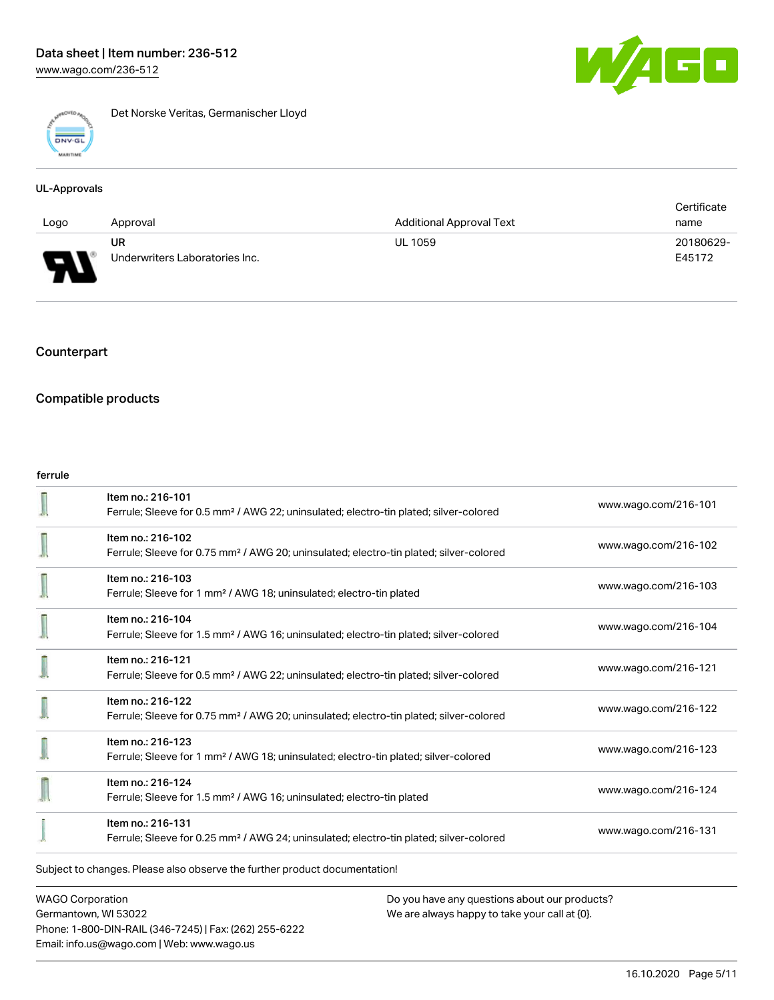

Det Norske Veritas, Germanischer Lloyd

#### UL-Approvals

|                                    |                                |                                 | Certificate |
|------------------------------------|--------------------------------|---------------------------------|-------------|
| Logo                               | Approval                       | <b>Additional Approval Text</b> | name        |
|                                    | UR                             | <b>UL 1059</b>                  | 20180629-   |
| o<br>◡<br>$\overline{\phantom{a}}$ | Underwriters Laboratories Inc. |                                 | E45172      |

## Counterpart

### Compatible products

#### ferrule

| Item no.: 216-101<br>Ferrule; Sleeve for 0.5 mm <sup>2</sup> / AWG 22; uninsulated; electro-tin plated; silver-colored  | www.wago.com/216-101 |
|-------------------------------------------------------------------------------------------------------------------------|----------------------|
| Item no.: 216-102<br>Ferrule; Sleeve for 0.75 mm <sup>2</sup> / AWG 20; uninsulated; electro-tin plated; silver-colored | www.wago.com/216-102 |
| Item no.: 216-103<br>Ferrule; Sleeve for 1 mm <sup>2</sup> / AWG 18; uninsulated; electro-tin plated                    | www.wago.com/216-103 |
| Item no.: 216-104<br>Ferrule; Sleeve for 1.5 mm <sup>2</sup> / AWG 16; uninsulated; electro-tin plated; silver-colored  | www.wago.com/216-104 |
| Item no.: 216-121<br>Ferrule; Sleeve for 0.5 mm <sup>2</sup> / AWG 22; uninsulated; electro-tin plated; silver-colored  | www.wago.com/216-121 |
| Item no.: 216-122<br>Ferrule; Sleeve for 0.75 mm <sup>2</sup> / AWG 20; uninsulated; electro-tin plated; silver-colored | www.wago.com/216-122 |
| Item no.: 216-123<br>Ferrule; Sleeve for 1 mm <sup>2</sup> / AWG 18; uninsulated; electro-tin plated; silver-colored    | www.wago.com/216-123 |
| Item no.: 216-124<br>Ferrule; Sleeve for 1.5 mm <sup>2</sup> / AWG 16; uninsulated; electro-tin plated                  | www.wago.com/216-124 |
| Item no.: 216-131<br>Ferrule; Sleeve for 0.25 mm <sup>2</sup> / AWG 24; uninsulated; electro-tin plated; silver-colored | www.wago.com/216-131 |
| Subject to changes. Please also observe the further product documentation!                                              |                      |

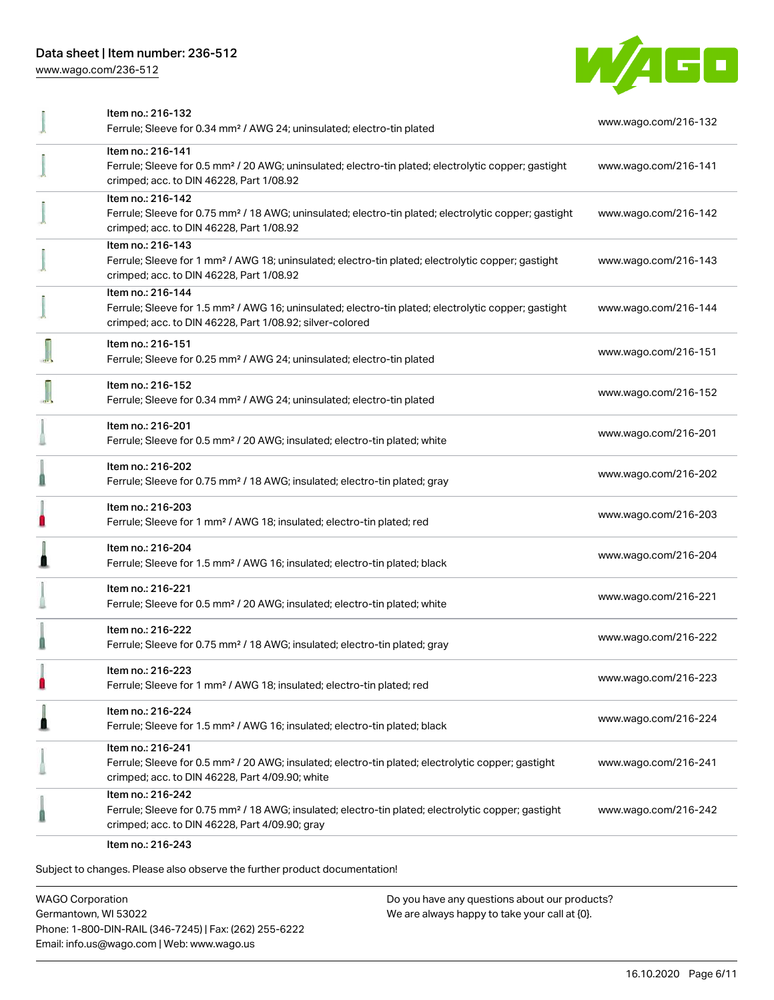## Data sheet | Item number: 236-512

[www.wago.com/236-512](http://www.wago.com/236-512)



| Item no.: 216-132                                                                                                                                                                                 | www.wago.com/216-132 |
|---------------------------------------------------------------------------------------------------------------------------------------------------------------------------------------------------|----------------------|
| Ferrule; Sleeve for 0.34 mm <sup>2</sup> / AWG 24; uninsulated; electro-tin plated                                                                                                                |                      |
| Item no.: 216-141<br>Ferrule; Sleeve for 0.5 mm <sup>2</sup> / 20 AWG; uninsulated; electro-tin plated; electrolytic copper; gastight<br>crimped; acc. to DIN 46228, Part 1/08.92                 | www.wago.com/216-141 |
| Item no.: 216-142<br>Ferrule; Sleeve for 0.75 mm <sup>2</sup> / 18 AWG; uninsulated; electro-tin plated; electrolytic copper; gastight<br>crimped; acc. to DIN 46228, Part 1/08.92                | www.wago.com/216-142 |
| Item no.: 216-143<br>Ferrule; Sleeve for 1 mm <sup>2</sup> / AWG 18; uninsulated; electro-tin plated; electrolytic copper; gastight<br>crimped; acc. to DIN 46228, Part 1/08.92                   | www.wago.com/216-143 |
| Item no.: 216-144<br>Ferrule; Sleeve for 1.5 mm <sup>2</sup> / AWG 16; uninsulated; electro-tin plated; electrolytic copper; gastight<br>crimped; acc. to DIN 46228, Part 1/08.92; silver-colored | www.wago.com/216-144 |
| Item no.: 216-151<br>Ferrule; Sleeve for 0.25 mm <sup>2</sup> / AWG 24; uninsulated; electro-tin plated                                                                                           | www.wago.com/216-151 |
| Item no.: 216-152<br>Ferrule; Sleeve for 0.34 mm <sup>2</sup> / AWG 24; uninsulated; electro-tin plated                                                                                           | www.wago.com/216-152 |
| Item no.: 216-201<br>Ferrule; Sleeve for 0.5 mm <sup>2</sup> / 20 AWG; insulated; electro-tin plated; white                                                                                       | www.wago.com/216-201 |
| Item no.: 216-202<br>Ferrule; Sleeve for 0.75 mm <sup>2</sup> / 18 AWG; insulated; electro-tin plated; gray                                                                                       | www.wago.com/216-202 |
| Item no.: 216-203<br>Ferrule; Sleeve for 1 mm <sup>2</sup> / AWG 18; insulated; electro-tin plated; red                                                                                           | www.wago.com/216-203 |
| Item no.: 216-204<br>Ferrule; Sleeve for 1.5 mm <sup>2</sup> / AWG 16; insulated; electro-tin plated; black                                                                                       | www.wago.com/216-204 |
| Item no.: 216-221<br>Ferrule; Sleeve for 0.5 mm <sup>2</sup> / 20 AWG; insulated; electro-tin plated; white                                                                                       | www.wago.com/216-221 |
| Item no.: 216-222<br>Ferrule; Sleeve for 0.75 mm <sup>2</sup> / 18 AWG; insulated; electro-tin plated; gray                                                                                       | www.wago.com/216-222 |
| Item no.: 216-223<br>Ferrule; Sleeve for 1 mm <sup>2</sup> / AWG 18; insulated; electro-tin plated; red                                                                                           | www.wago.com/216-223 |
| Item no.: 216-224<br>Ferrule; Sleeve for 1.5 mm <sup>2</sup> / AWG 16; insulated; electro-tin plated; black                                                                                       | www.wago.com/216-224 |
| Item no.: 216-241<br>Ferrule; Sleeve for 0.5 mm <sup>2</sup> / 20 AWG; insulated; electro-tin plated; electrolytic copper; gastight<br>crimped; acc. to DIN 46228, Part 4/09.90; white            | www.wago.com/216-241 |
| Item no.: 216-242<br>Ferrule; Sleeve for 0.75 mm <sup>2</sup> / 18 AWG; insulated; electro-tin plated; electrolytic copper; gastight<br>crimped; acc. to DIN 46228, Part 4/09.90; gray            | www.wago.com/216-242 |
| Item no.: 216-243                                                                                                                                                                                 |                      |

Subject to changes. Please also observe the further product documentation!

WAGO Corporation Germantown, WI 53022 Phone: 1-800-DIN-RAIL (346-7245) | Fax: (262) 255-6222 Email: info.us@wago.com | Web: www.wago.us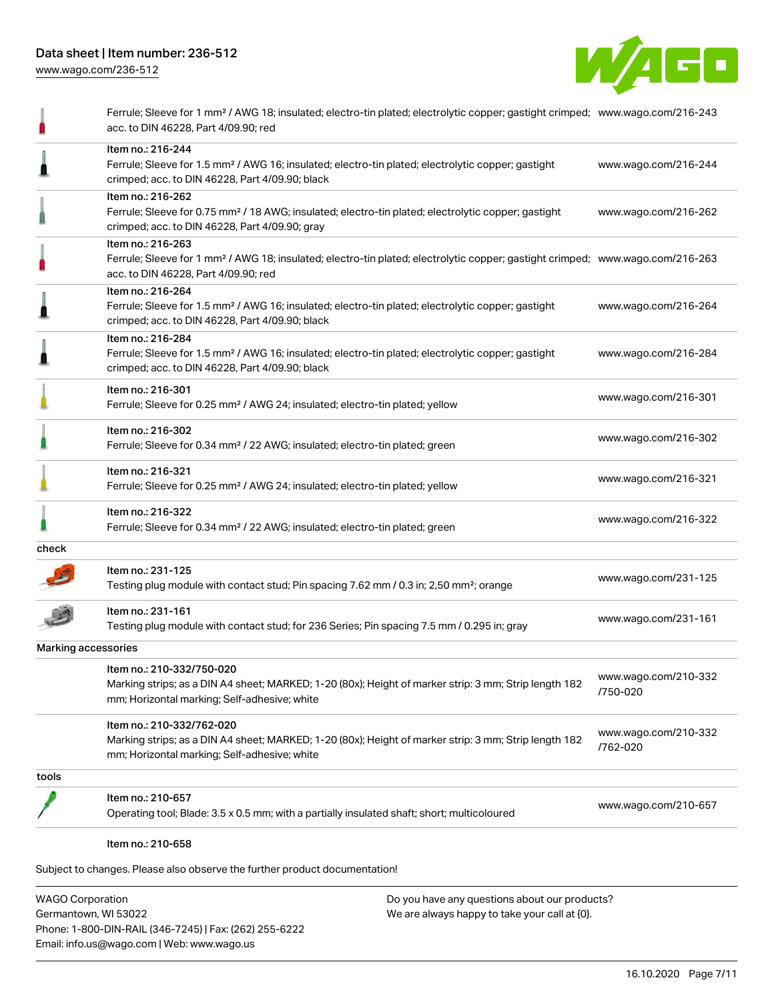Phone: 1-800-DIN-RAIL (346-7245) | Fax: (262) 255-6222

Email: info.us@wago.com | Web: www.wago.us



|                         | Ferrule; Sleeve for 1 mm <sup>2</sup> / AWG 18; insulated; electro-tin plated; electrolytic copper; gastight crimped; www.wago.com/216-243<br>acc. to DIN 46228, Part 4/09.90; red                      |                                               |                                  |  |
|-------------------------|---------------------------------------------------------------------------------------------------------------------------------------------------------------------------------------------------------|-----------------------------------------------|----------------------------------|--|
|                         | Item no.: 216-244<br>Ferrule; Sleeve for 1.5 mm <sup>2</sup> / AWG 16; insulated; electro-tin plated; electrolytic copper; gastight<br>crimped; acc. to DIN 46228, Part 4/09.90; black                  |                                               | www.wago.com/216-244             |  |
|                         | Item no.: 216-262<br>Ferrule; Sleeve for 0.75 mm <sup>2</sup> / 18 AWG; insulated; electro-tin plated; electrolytic copper; gastight<br>crimped; acc. to DIN 46228, Part 4/09.90; gray                  |                                               | www.wago.com/216-262             |  |
|                         | Item no.: 216-263<br>Ferrule; Sleeve for 1 mm <sup>2</sup> / AWG 18; insulated; electro-tin plated; electrolytic copper; gastight crimped; www.wago.com/216-263<br>acc. to DIN 46228, Part 4/09.90; red |                                               |                                  |  |
|                         | Item no.: 216-264<br>Ferrule; Sleeve for 1.5 mm <sup>2</sup> / AWG 16; insulated; electro-tin plated; electrolytic copper; gastight<br>crimped; acc. to DIN 46228, Part 4/09.90; black                  |                                               | www.wago.com/216-264             |  |
|                         | Item no.: 216-284<br>Ferrule; Sleeve for 1.5 mm <sup>2</sup> / AWG 16; insulated; electro-tin plated; electrolytic copper; gastight<br>crimped; acc. to DIN 46228, Part 4/09.90; black                  |                                               | www.wago.com/216-284             |  |
|                         | Item no.: 216-301<br>Ferrule; Sleeve for 0.25 mm <sup>2</sup> / AWG 24; insulated; electro-tin plated; yellow                                                                                           |                                               | www.wago.com/216-301             |  |
|                         | Item no.: 216-302<br>Ferrule; Sleeve for 0.34 mm <sup>2</sup> / 22 AWG; insulated; electro-tin plated; green                                                                                            |                                               | www.wago.com/216-302             |  |
|                         | Item no.: 216-321<br>Ferrule; Sleeve for 0.25 mm <sup>2</sup> / AWG 24; insulated; electro-tin plated; yellow                                                                                           |                                               | www.wago.com/216-321             |  |
|                         | Item no.: 216-322<br>Ferrule; Sleeve for 0.34 mm <sup>2</sup> / 22 AWG; insulated; electro-tin plated; green                                                                                            |                                               | www.wago.com/216-322             |  |
| check                   |                                                                                                                                                                                                         |                                               |                                  |  |
|                         | Item no.: 231-125<br>Testing plug module with contact stud; Pin spacing 7.62 mm / 0.3 in; 2,50 mm <sup>2</sup> ; orange                                                                                 |                                               | www.wago.com/231-125             |  |
|                         | Item no.: 231-161<br>Testing plug module with contact stud; for 236 Series; Pin spacing 7.5 mm / 0.295 in; gray                                                                                         |                                               | www.wago.com/231-161             |  |
| Marking accessories     |                                                                                                                                                                                                         |                                               |                                  |  |
|                         | Item no.: 210-332/750-020<br>Marking strips; as a DIN A4 sheet; MARKED; 1-20 (80x); Height of marker strip: 3 mm; Strip length 182<br>mm; Horizontal marking; Self-adhesive; white                      |                                               | www.wago.com/210-332<br>/750-020 |  |
|                         | Item no.: 210-332/762-020<br>Marking strips; as a DIN A4 sheet; MARKED; 1-20 (80x); Height of marker strip: 3 mm; Strip length 182<br>mm; Horizontal marking; Self-adhesive; white                      |                                               | www.wago.com/210-332<br>/762-020 |  |
| tools                   |                                                                                                                                                                                                         |                                               |                                  |  |
|                         | Item no.: 210-657<br>Operating tool; Blade: 3.5 x 0.5 mm; with a partially insulated shaft; short; multicoloured                                                                                        |                                               | www.wago.com/210-657             |  |
|                         | Item no.: 210-658                                                                                                                                                                                       |                                               |                                  |  |
|                         | Subject to changes. Please also observe the further product documentation!                                                                                                                              |                                               |                                  |  |
| <b>WAGO Corporation</b> |                                                                                                                                                                                                         | Do you have any questions about our products? |                                  |  |
| Germantown, WI 53022    |                                                                                                                                                                                                         | We are always happy to take your call at {0}. |                                  |  |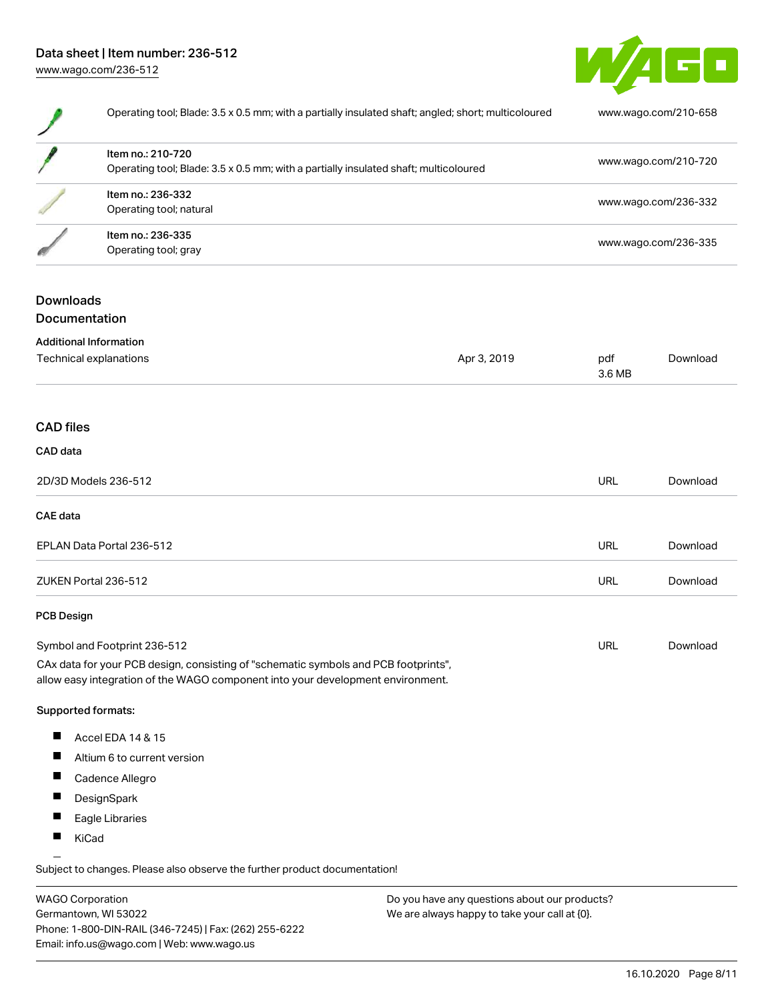

|                   | Operating tool; Blade: 3.5 x 0.5 mm; with a partially insulated shaft; angled; short; multicoloured                                                                    |             |                      | www.wago.com/210-658 |  |
|-------------------|------------------------------------------------------------------------------------------------------------------------------------------------------------------------|-------------|----------------------|----------------------|--|
|                   |                                                                                                                                                                        |             |                      |                      |  |
|                   | Item no.: 210-720<br>Operating tool; Blade: 3.5 x 0.5 mm; with a partially insulated shaft; multicoloured                                                              |             | www.wago.com/210-720 |                      |  |
|                   |                                                                                                                                                                        |             |                      |                      |  |
|                   | Item no.: 236-332                                                                                                                                                      |             | www.wago.com/236-332 |                      |  |
|                   | Operating tool; natural                                                                                                                                                |             |                      |                      |  |
|                   | Item no.: 236-335                                                                                                                                                      |             |                      | www.wago.com/236-335 |  |
|                   | Operating tool; gray                                                                                                                                                   |             |                      |                      |  |
| <b>Downloads</b>  |                                                                                                                                                                        |             |                      |                      |  |
| Documentation     |                                                                                                                                                                        |             |                      |                      |  |
|                   | <b>Additional Information</b>                                                                                                                                          |             |                      |                      |  |
|                   | Technical explanations                                                                                                                                                 | Apr 3, 2019 | pdf<br>3.6 MB        | Download             |  |
| <b>CAD</b> files  |                                                                                                                                                                        |             |                      |                      |  |
| CAD data          |                                                                                                                                                                        |             |                      |                      |  |
|                   | 2D/3D Models 236-512                                                                                                                                                   |             | <b>URL</b>           | Download             |  |
| CAE data          |                                                                                                                                                                        |             |                      |                      |  |
|                   | EPLAN Data Portal 236-512                                                                                                                                              |             | <b>URL</b>           | Download             |  |
|                   | ZUKEN Portal 236-512                                                                                                                                                   |             | <b>URL</b>           | Download             |  |
| <b>PCB Design</b> |                                                                                                                                                                        |             |                      |                      |  |
|                   | Symbol and Footprint 236-512                                                                                                                                           |             | URL                  | Download             |  |
|                   | CAx data for your PCB design, consisting of "schematic symbols and PCB footprints",<br>allow easy integration of the WAGO component into your development environment. |             |                      |                      |  |
|                   | Supported formats:                                                                                                                                                     |             |                      |                      |  |
| ш                 | Accel EDA 14 & 15                                                                                                                                                      |             |                      |                      |  |
| ш                 | Altium 6 to current version                                                                                                                                            |             |                      |                      |  |

- $\blacksquare$ Cadence Allegro
- $\blacksquare$ DesignSpark
- $\blacksquare$ Eagle Libraries
- $\blacksquare$ KiCad

Subject to changes. Please also observe the further product documentation!

WAGO Corporation Germantown, WI 53022 Phone: 1-800-DIN-RAIL (346-7245) | Fax: (262) 255-6222 Email: info.us@wago.com | Web: www.wago.us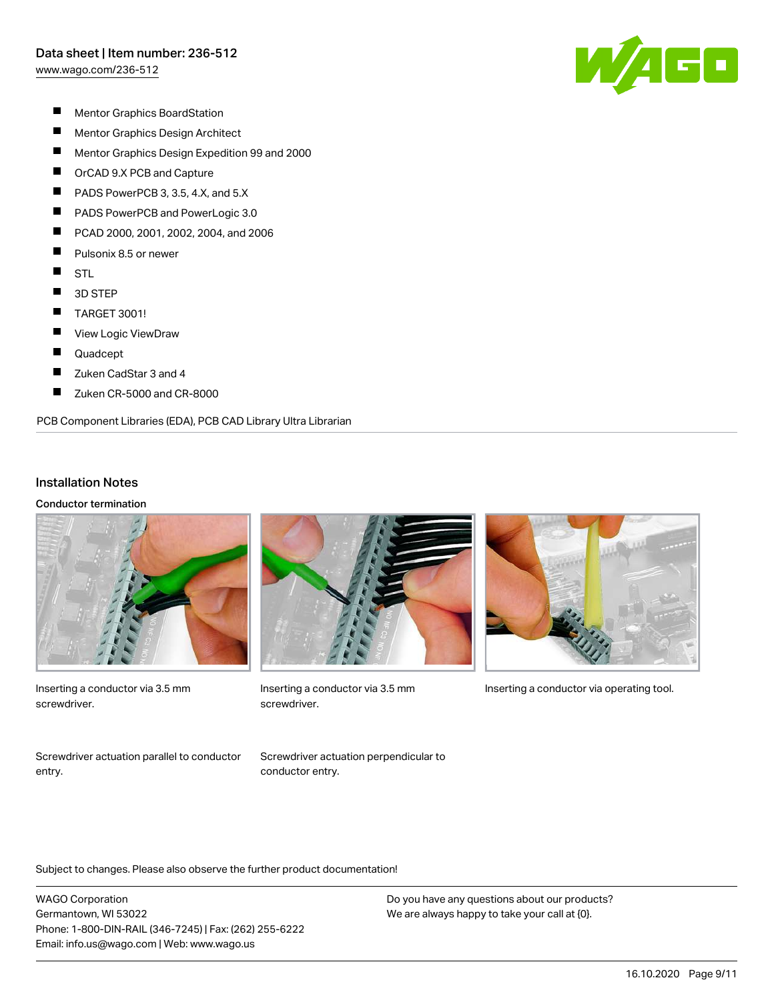

- $\blacksquare$ Mentor Graphics BoardStation
- $\blacksquare$ Mentor Graphics Design Architect
- $\blacksquare$ Mentor Graphics Design Expedition 99 and 2000
- $\blacksquare$ OrCAD 9.X PCB and Capture
- П PADS PowerPCB 3, 3.5, 4.X, and 5.X
- П PADS PowerPCB and PowerLogic 3.0
- П PCAD 2000, 2001, 2002, 2004, and 2006
- $\blacksquare$ Pulsonix 8.5 or newer
- $\blacksquare$ **STL**
- $\blacksquare$ 3D STEP
- $\blacksquare$ TARGET 3001!
- П View Logic ViewDraw
- $\blacksquare$ Quadcept
- $\blacksquare$ Zuken CadStar 3 and 4
- П Zuken CR-5000 and CR-8000

#### PCB Component Libraries (EDA), PCB CAD Library Ultra Librarian

#### Installation Notes

Conductor termination



Inserting a conductor via 3.5 mm screwdriver.



screwdriver.



Inserting a conductor via 3.5 mm Inserting a conductor via operating tool.

Screwdriver actuation parallel to conductor entry.

Screwdriver actuation perpendicular to conductor entry.

Subject to changes. Please also observe the further product documentation!

WAGO Corporation Germantown, WI 53022 Phone: 1-800-DIN-RAIL (346-7245) | Fax: (262) 255-6222 Email: info.us@wago.com | Web: www.wago.us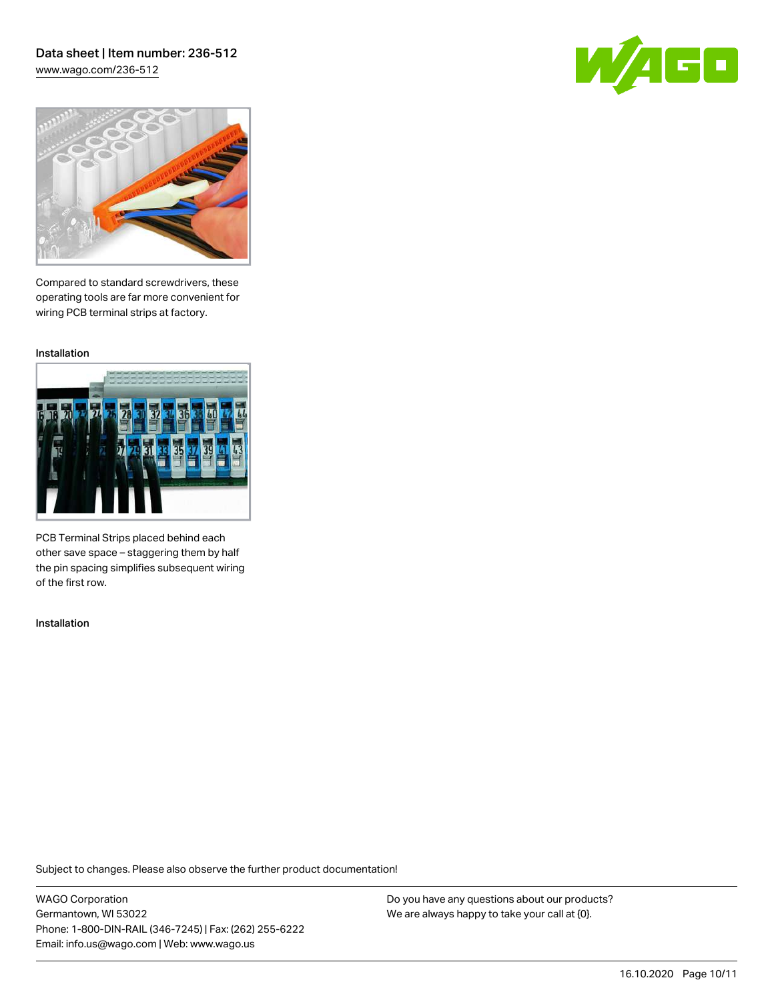### Data sheet | Item number: 236-512 [www.wago.com/236-512](http://www.wago.com/236-512)





Compared to standard screwdrivers, these operating tools are far more convenient for wiring PCB terminal strips at factory.

Installation



PCB Terminal Strips placed behind each other save space – staggering them by half the pin spacing simplifies subsequent wiring of the first row.

Installation

Subject to changes. Please also observe the further product documentation!

WAGO Corporation Germantown, WI 53022 Phone: 1-800-DIN-RAIL (346-7245) | Fax: (262) 255-6222 Email: info.us@wago.com | Web: www.wago.us